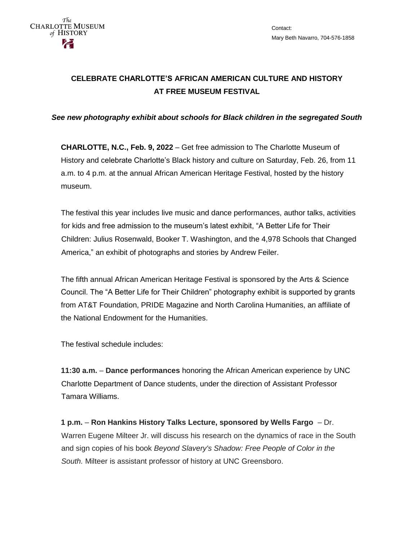## **CELEBRATE CHARLOTTE'S AFRICAN AMERICAN CULTURE AND HISTORY AT FREE MUSEUM FESTIVAL**

*See new photography exhibit about schools for Black children in the segregated South* 

**CHARLOTTE, N.C., Feb. 9, 2022** – Get free admission to The Charlotte Museum of History and celebrate Charlotte's Black history and culture on Saturday, Feb. 26, from 11 a.m. to 4 p.m. at the annual African American Heritage Festival, hosted by the history museum.

The festival this year includes live music and dance performances, author talks, activities for kids and free admission to the museum's latest exhibit, "A Better Life for Their Children: Julius Rosenwald, Booker T. Washington, and the 4,978 Schools that Changed America," an exhibit of photographs and stories by Andrew Feiler.

The fifth annual African American Heritage Festival is sponsored by the Arts & Science Council. The "A Better Life for Their Children" photography exhibit is supported by grants from AT&T Foundation, PRIDE Magazine and North Carolina Humanities, an affiliate of the National Endowment for the Humanities.

The festival schedule includes:

**11:30 a.m.** – **Dance performances** honoring the African American experience by UNC Charlotte Department of Dance students, under the direction of Assistant Professor Tamara Williams.

**1 p.m.** – **Ron Hankins History Talks Lecture, sponsored by Wells Fargo** – Dr. Warren Eugene Milteer Jr. will discuss his research on the dynamics of race in the South and sign copies of his book *Beyond Slavery's Shadow: Free People of Color in the South.* Milteer is assistant professor of history at UNC Greensboro.